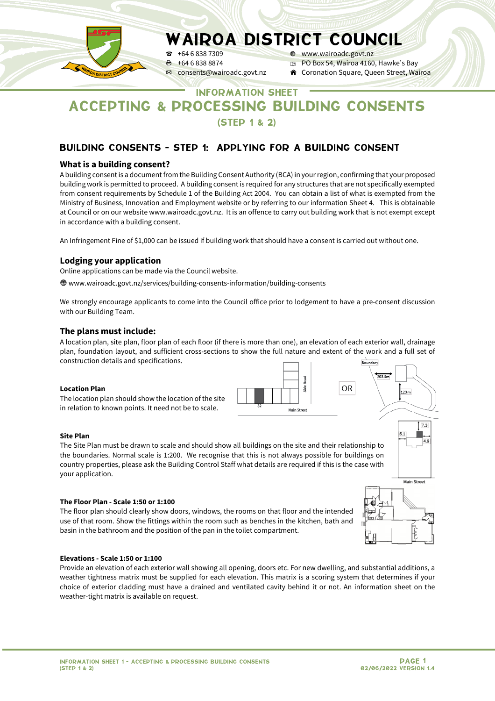

P +64 6 838 7309 W www.wairoadc.govt.nz  $\theta$  +64 6 838 8874 **p** PO Box 54, Wairoa 4160, Hawke's Bay<br> **EX** consents @wairoadc.govt.nz **A** Coronation Square, Queen Street, Wa

**A** Coronation Square, Queen Street, Wairoa

# INFORMATION SHEET ACCEPTING & PROCESSING BUILDING CONSENTS (STEP 1 & 2)

# BUILDING CONSENTS - STEP 1: APPLYING FOR A BUILDING CONSENT

### **What is a building consent?**

A building consent is a document from the Building Consent Authority (BCA) in your region, confirming that your proposed building work is permitted to proceed. A building consent is required for any structures that are not specifically exempted from consent requirements by Schedule 1 of the Building Act 2004. You can obtain a list of what is exempted from the Ministry of Business, Innovation and Employment website or by referring to our information Sheet 4. This is obtainable at Council or on our website www.wairoadc.govt.nz. It is an offence to carry out building work that is not exempt except in accordance with a building consent.

An Infringement Fine of \$1,000 can be issued if building work that should have a consent is carried out without one.

## **Lodging your application**

Online applications can be made via the Council website.

W www.wairoadc.govt.nz/services/building-consents-information/building-consents

We strongly encourage applicants to come into the Council office prior to lodgement to have a pre-consent discussion with our Building Team.

#### **The plans must include:**

A location plan, site plan, floor plan of each floor (if there is more than one), an elevation of each exterior wall, drainage plan, foundation layout, and sufficient cross-sections to show the full nature and extent of the work and a full set of construction details and specifications.

#### **Location Plan**

The location plan should show the location of the site in relation to known points. It need not be to scale.



#### **Site Plan**

The Site Plan must be drawn to scale and should show all buildings on the site and their relationship to the boundaries. Normal scale is 1:200. We recognise that this is not always possible for buildings on country properties, please ask the Building Control Staff what details are required if this is the case with your application.

#### **The Floor Plan - Scale 1:50 or 1:100**

The floor plan should clearly show doors, windows, the rooms on that floor and the intended use of that room. Show the fittings within the room such as benches in the kitchen, bath and basin in the bathroom and the position of the pan in the toilet compartment.



 $123m$ 

 $7.3$ 

#### **Elevations - Scale 1:50 or 1:100**

Provide an elevation of each exterior wall showing all opening, doors etc. For new dwelling, and substantial additions, a weather tightness matrix must be supplied for each elevation. This matrix is a scoring system that determines if your choice of exterior cladding must have a drained and ventilated cavity behind it or not. An information sheet on the weather-tight matrix is available on request.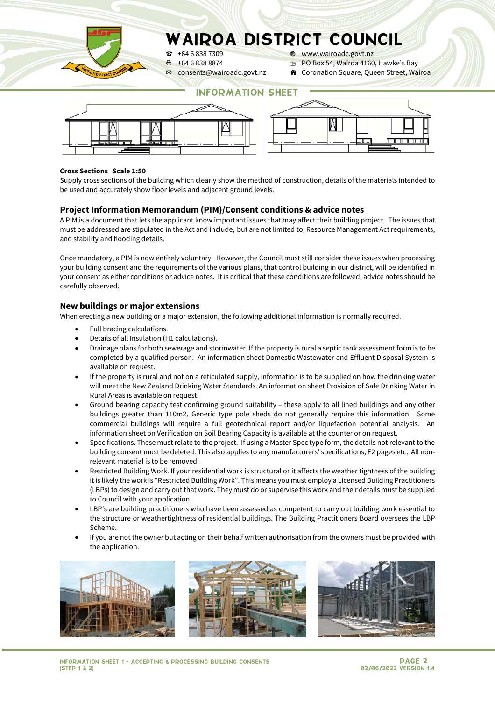

P +64 6 838 7309 W www.wairoadc.govt.nz

- **E** +64 6 838 8874 **p** PO Box 54, Wairoa 4160, Hawke's Bay<br> **EX** consents@wairoadc.govt.nz A Coronation Square, Queen Street, Wa
	- **A** Coronation Square, Queen Street, Wairoa

# INFORMATION SHEET



#### **Cross Sections Scale 1:50**

Supply cross sections of the building which clearly show the method of construction, details of the materials intended to be used and accurately show floor levels and adjacent ground levels.

#### **Project Information Memorandum (PIM)/Consent conditions & advice notes**

A PIM is a document that lets the applicant know important issues that may affect their building project. The issues that must be addressed are stipulated in the Act and include, but are not limited to, Resource Management Act requirements, and stability and flooding details.

Once mandatory, a PIM is now entirely voluntary. However, the Council must still consider these issues when processing your building consent and the requirements of the various plans, that control building in our district, will be identified in your consent as either conditions or advice notes. It is critical that these conditions are followed, advice notes should be carefully observed.

#### **New buildings or major extensions**

When erecting a new building or a major extension, the following additional information is normally required.

- Full bracing calculations.
- Details of all Insulation (H1 calculations).
- Drainage plans for both sewerage and stormwater. If the property is rural a septic tank assessment form is to be completed by a qualified person. An information sheet Domestic Wastewater and Effluent Disposal System is available on request.
- If the property is rural and not on a reticulated supply, information is to be supplied on how the drinking water will meet the New Zealand Drinking Water Standards. An information sheet Provision of Safe Drinking Water in Rural Areas is available on request.
- Ground bearing capacity test confirming ground suitability these apply to all lined buildings and any other buildings greater than 110m2. Generic type pole sheds do not generally require this information. Some commercial buildings will require a full geotechnical report and/or liquefaction potential analysis. An information sheet on Verification on Soil Bearing Capacity is available at the counter or on request.
- Specifications. These must relate to the project. If using a Master Spec type form, the details not relevant to the building consent must be deleted. This also applies to any manufacturers' specifications, E2 pages etc. All nonrelevant material is to be removed.
- Restricted Building Work. If your residential work is structural or it affects the weather tightness of the building it is likely the work is "Restricted Building Work". This means you must employ a Licensed Building Practitioners (LBPs) to design and carry out that work. They must do or supervise this work and their details must be supplied to Council with your application.
- LBP's are building practitioners who have been assessed as competent to carry out building work essential to the structure or weathertightness of residential buildings. The Building Practitioners Board oversees the LBP Scheme.
- If you are not the owner but acting on their behalf written authorisation from the owners must be provided with the application.

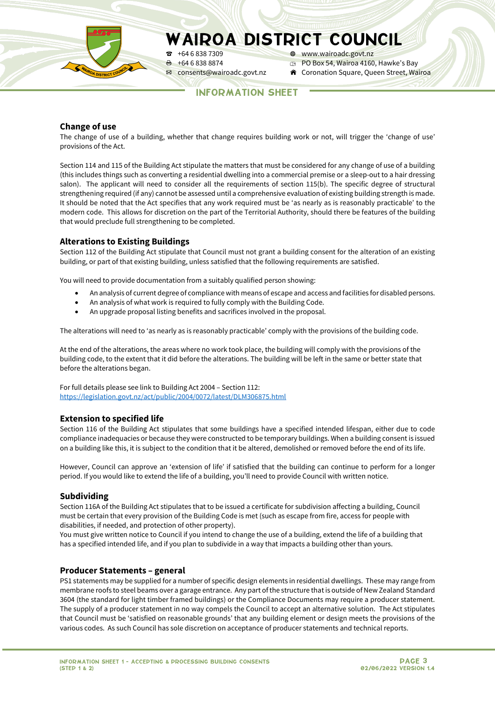

P +64 6 838 7309 W www.wairoadc.govt.nz  $\theta$  +64 6 838 8874 **p** PO Box 54, Wairoa 4160, Hawke's Bay<br> **EX** consents @wairoadc.govt.nz **A** Coronation Square, Queen Street, Wa **A** Coronation Square, Queen Street, Wairoa

INFORMATION SHEET

### **Change of use**

The change of use of a building, whether that change requires building work or not, will trigger the 'change of use' provisions of the Act.

Section 114 and 115 of the Building Act stipulate the matters that must be considered for any change of use of a building (this includes things such as converting a residential dwelling into a commercial premise or a sleep-out to a hair dressing salon). The applicant will need to consider all the requirements of section 115(b). The specific degree of structural strengthening required (if any) cannot be assessed until a comprehensive evaluation of existing building strength is made. It should be noted that the Act specifies that any work required must be 'as nearly as is reasonably practicable' to the modern code. This allows for discretion on the part of the Territorial Authority, should there be features of the building that would preclude full strengthening to be completed.

## **Alterations to Existing Buildings**

Section 112 of the Building Act stipulate that Council must not grant a building consent for the alteration of an existing building, or part of that existing building, unless satisfied that the following requirements are satisfied.

You will need to provide documentation from a suitably qualified person showing:

- An analysis of current degree of compliance with means of escape and access and facilities for disabled persons.
- An analysis of what work is required to fully comply with the Building Code.
- An upgrade proposal listing benefits and sacrifices involved in the proposal.

The alterations will need to 'as nearly as is reasonably practicable' comply with the provisions of the building code.

At the end of the alterations, the areas where no work took place, the building will comply with the provisions of the building code, to the extent that it did before the alterations. The building will be left in the same or better state that before the alterations began.

For full details please see link to Building Act 2004 – Section 112: <https://legislation.govt.nz/act/public/2004/0072/latest/DLM306875.html>

#### **Extension to specified life**

Section 116 of the Building Act stipulates that some buildings have a specified intended lifespan, either due to code compliance inadequacies or because they were constructed to be temporary buildings. When a building consent is issued on a building like this, it is subject to the condition that it be altered, demolished or removed before the end of its life.

However, Council can approve an 'extension of life' if satisfied that the building can continue to perform for a longer period. If you would like to extend the life of a building, you'll need to provide Council with written notice.

#### **Subdividing**

Section 116A of the Building Act stipulates that to be issued a certificate for subdivision affecting a building, Council must be certain that every provision of the Building Code is met (such as escape from fire, access for people with disabilities, if needed, and protection of other property).

You must give written notice to Council if you intend to change the use of a building, extend the life of a building that has a specified intended life, and if you plan to subdivide in a way that impacts a building other than yours.

#### **Producer Statements – general**

PS1 statements may be supplied for a number of specific design elements in residential dwellings. These may range from membrane roofs to steel beams over a garage entrance. Any part of the structure that is outside of New Zealand Standard 3604 (the standard for light timber framed buildings) or the Compliance Documents may require a producer statement. The supply of a producer statement in no way compels the Council to accept an alternative solution. The Act stipulates that Council must be 'satisfied on reasonable grounds' that any building element or design meets the provisions of the various codes. As such Council has sole discretion on acceptance of producer statements and technical reports.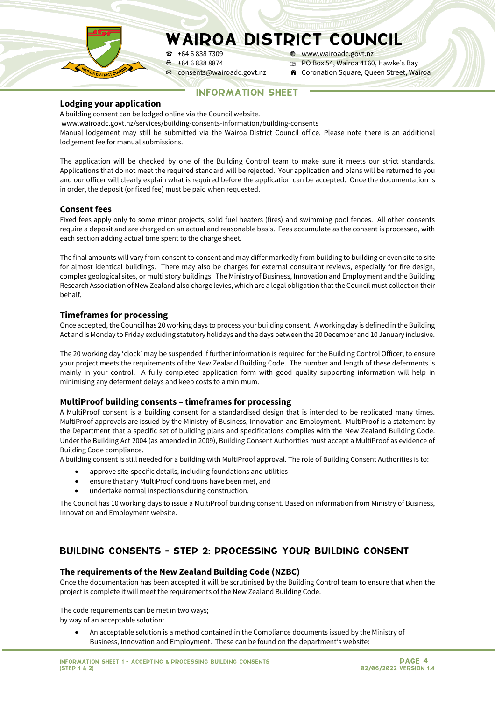

 $\theta$  +64 6 838 8874 **p** PO Box 54, Wairoa 4160, Hawke's Bay<br> **EX** consents @wairoadc.govt.nz **A** Coronation Square, Queen Street, Wa

P +64 6 838 7309 W www.wairoadc.govt.nz

**A** Coronation Square, Queen Street, Wairoa

INFORMATION SHEET

### **Lodging your application**

A building consent can be lodged online via the Council website.

www.wairoadc.govt.nz/services/building-consents-information/building-consents

Manual lodgement may still be submitted via the Wairoa District Council office. Please note there is an additional lodgement fee for manual submissions.

The application will be checked by one of the Building Control team to make sure it meets our strict standards. Applications that do not meet the required standard will be rejected. Your application and plans will be returned to you and our officer will clearly explain what is required before the application can be accepted. Once the documentation is in order, the deposit (or fixed fee) must be paid when requested.

## **Consent fees**

Fixed fees apply only to some minor projects, solid fuel heaters (fires) and swimming pool fences. All other consents require a deposit and are charged on an actual and reasonable basis. Fees accumulate as the consent is processed, with each section adding actual time spent to the charge sheet.

The final amounts will vary from consent to consent and may differ markedly from building to building or even site to site for almost identical buildings. There may also be charges for external consultant reviews, especially for fire design, complex geological sites, or multi story buildings. The Ministry of Business, Innovation and Employment and the Building Research Association of New Zealand also charge levies, which are a legal obligation that the Council must collect on their behalf.

## **Timeframes for processing**

Once accepted, the Council has 20 working days to process your building consent. A working day is defined in the Building Act and is Monday to Friday excluding statutory holidays and the days between the 20 December and 10 January inclusive.

The 20 working day 'clock' may be suspended if further information is required for the Building Control Officer, to ensure your project meets the requirements of the New Zealand Building Code. The number and length of these deferments is mainly in your control. A fully completed application form with good quality supporting information will help in minimising any deferment delays and keep costs to a minimum.

#### **MultiProof building consents – timeframes for processing**

A MultiProof consent is a building consent for a standardised design that is intended to be replicated many times. MultiProof approvals are issued by the Ministry of Business, Innovation and Employment. MultiProof is a statement by the Department that a specific set of building plans and specifications complies with the New Zealand Building Code. Under the Building Act 2004 (as amended in 2009), Building Consent Authorities must accept a MultiProof as evidence of Building Code compliance.

A building consent is still needed for a building with MultiProof approval. The role of Building Consent Authorities is to:

- approve site-specific details, including foundations and utilities
- ensure that any MultiProof conditions have been met, and
- undertake normal inspections during construction.

The Council has 10 working days to issue a MultiProof building consent. Based on information from Ministry of Business, Innovation and Employment website.

# BUILDING CONSENTS - STEP 2: PROCESSING YOUR BUILDING CONSENT

#### **The requirements of the New Zealand Building Code (NZBC)**

Once the documentation has been accepted it will be scrutinised by the Building Control team to ensure that when the project is complete it will meet the requirements of the New Zealand Building Code.

The code requirements can be met in two ways; by way of an acceptable solution:

• An acceptable solution is a method contained in the Compliance documents issued by the Ministry of Business, Innovation and Employment. These can be found on the department's website: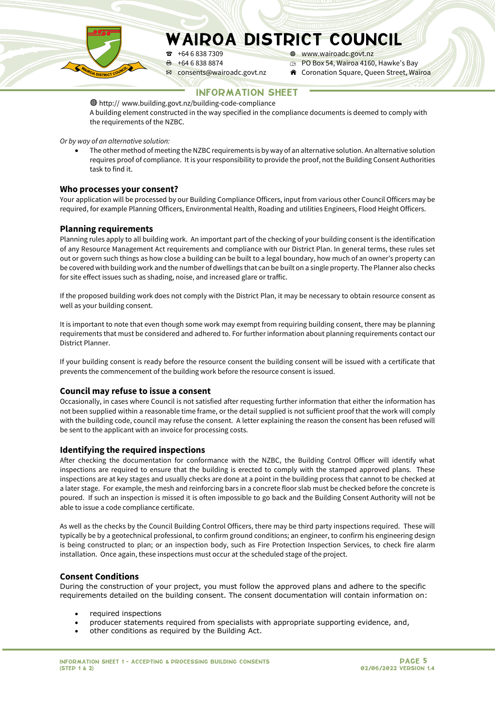$\theta$  +64 6 838 8874 **p** PO Box 54, Wairoa 4160, Hawke's Bay<br> **EX** consents @wairoadc.govt.nz **A** Coronation Square, Queen Street, Wa

P +64 6 838 7309 W www.wairoadc.govt.nz

**A** Coronation Square, Queen Street, Wairoa

# INFORMATION SHEET

Whttp:// www.building.govt.nz/building-code-compliance A building element constructed in the way specified in the compliance documents is deemed to comply with the requirements of the NZBC.

*Or by way of an alternative solution:*

• The other method of meeting the NZBC requirements is by way of an alternative solution. An alternative solution requires proof of compliance. It is your responsibility to provide the proof, not the Building Consent Authorities task to find it.

#### **Who processes your consent?**

Your application will be processed by our Building Compliance Officers, input from various other Council Officers may be required, for example Planning Officers, Environmental Health, Roading and utilities Engineers, Flood Height Officers.

## **Planning requirements**

Planning rules apply to all building work. An important part of the checking of your building consent is the identification of any Resource Management Act requirements and compliance with our District Plan. In general terms, these rules set out or govern such things as how close a building can be built to a legal boundary, how much of an owner's property can be covered with building work and the number of dwellings that can be built on a single property. The Planner also checks for site effect issues such as shading, noise, and increased glare or traffic.

If the proposed building work does not comply with the District Plan, it may be necessary to obtain resource consent as well as your building consent.

It is important to note that even though some work may exempt from requiring building consent, there may be planning requirements that must be considered and adhered to. For further information about planning requirements contact our District Planner.

If your building consent is ready before the resource consent the building consent will be issued with a certificate that prevents the commencement of the building work before the resource consent is issued.

#### **Council may refuse to issue a consent**

Occasionally, in cases where Council is not satisfied after requesting further information that either the information has not been supplied within a reasonable time frame, or the detail supplied is not sufficient proof that the work will comply with the building code, council may refuse the consent. A letter explaining the reason the consent has been refused will be sent to the applicant with an invoice for processing costs.

#### **Identifying the required inspections**

After checking the documentation for conformance with the NZBC, the Building Control Officer will identify what inspections are required to ensure that the building is erected to comply with the stamped approved plans. These inspections are at key stages and usually checks are done at a point in the building process that cannot to be checked at a later stage. For example, the mesh and reinforcing bars in a concrete floor slab must be checked before the concrete is poured. If such an inspection is missed it is often impossible to go back and the Building Consent Authority will not be able to issue a code compliance certificate.

As well as the checks by the Council Building Control Officers, there may be third party inspections required. These will typically be by a geotechnical professional, to confirm ground conditions; an engineer, to confirm his engineering design is being constructed to plan; or an inspection body, such as Fire Protection Inspection Services, to check fire alarm installation. Once again, these inspections must occur at the scheduled stage of the project.

#### **Consent Conditions**

During the construction of your project, you must follow the approved plans and adhere to the specific requirements detailed on the building consent. The consent documentation will contain information on:

- required inspections
- producer statements required from specialists with appropriate supporting evidence, and,
- other conditions as required by the Building Act.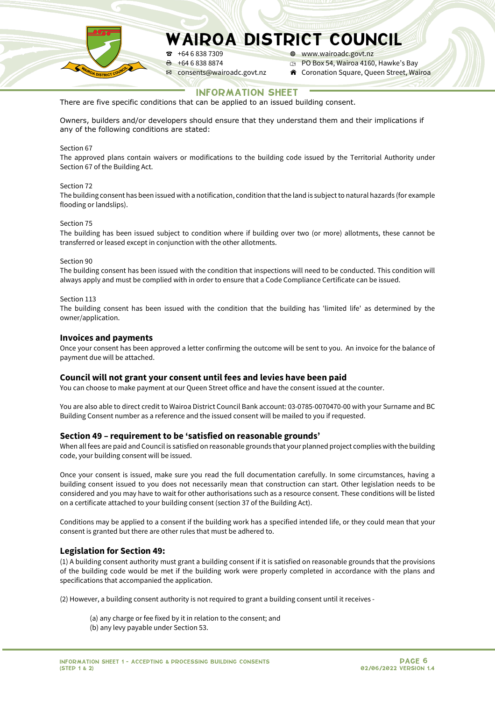P +64 6 838 7309 W www.wairoadc.govt.nz  $\theta$  +64 6 838 8874 **p** PO Box 54, Wairoa 4160, Hawke's Bay<br> **EX** consents @wairoadc.govt.nz **A** Coronation Square, Queen Street, Wa

**A** Coronation Square, Queen Street, Wairoa

# INFORMATION SHEET

There are five specific conditions that can be applied to an issued building consent.

Owners, builders and/or developers should ensure that they understand them and their implications if any of the following conditions are stated:

#### Section 67

The approved plans contain waivers or modifications to the building code issued by the Territorial Authority under Section 67 of the Building Act.

#### Section 72

The building consent has been issued with a notification, condition that the land is subject to natural hazards (for example flooding or landslips).

#### Section 75

The building has been issued subject to condition where if building over two (or more) allotments, these cannot be transferred or leased except in conjunction with the other allotments.

#### Section 90

The building consent has been issued with the condition that inspections will need to be conducted. This condition will always apply and must be complied with in order to ensure that a Code Compliance Certificate can be issued.

#### Section 113

The building consent has been issued with the condition that the building has 'limited life' as determined by the owner/application.

#### **Invoices and payments**

Once your consent has been approved a letter confirming the outcome will be sent to you. An invoice for the balance of payment due will be attached.

#### **Council will not grant your consent until fees and levies have been paid**

You can choose to make payment at our Queen Street office and have the consent issued at the counter.

You are also able to direct credit to Wairoa District Council Bank account: 03-0785-0070470-00 with your Surname and BC Building Consent number as a reference and the issued consent will be mailed to you if requested.

#### **Section 49 – requirement to be 'satisfied on reasonable grounds'**

When all fees are paid and Council is satisfied on reasonable grounds that your planned project complies with the building code, your building consent will be issued.

Once your consent is issued, make sure you read the full documentation carefully. In some circumstances, having a building consent issued to you does not necessarily mean that construction can start. Other legislation needs to be considered and you may have to wait for other authorisations such as a resource consent. These conditions will be listed on a certificate attached to your building consent (section 37 of the Building Act).

Conditions may be applied to a consent if the building work has a specified intended life, or they could mean that your consent is granted but there are other rules that must be adhered to.

#### **Legislation for Section 49:**

(1) A building consent authority must grant a building consent if it is satisfied on reasonable grounds that the provisions of the building code would be met if the building work were properly completed in accordance with the plans and specifications that accompanied the application.

(2) However, a building consent authority is not required to grant a building consent until it receives -

- (a) any charge or fee fixed by it in relation to the consent; and
- (b) any levy payable under Section 53.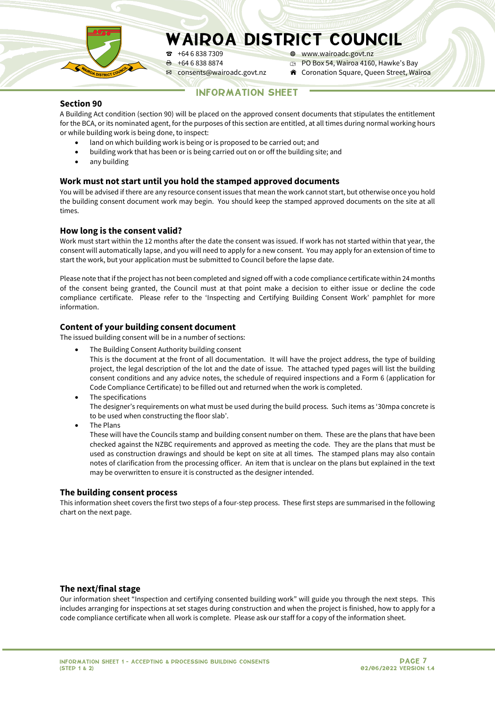

 $\text{R}$  +64 6 838 7309  $\text{R}$  www.wairoadc.govt.nz

 $\theta$  +64 6 838 8874 **p** PO Box 54, Wairoa 4160, Hawke's Bay<br> **EX** consents @wairoadc.govt.nz **A** Coronation Square, Queen Street, Wa

**A** Coronation Square, Queen Street, Wairoa

# INFORMATION SHEET

#### **Section 90**

A Building Act condition (section 90) will be placed on the approved consent documents that stipulates the entitlement for the BCA, or its nominated agent, for the purposes of this section are entitled, at all times during normal working hours or while building work is being done, to inspect:

- land on which building work is being or is proposed to be carried out; and
- building work that has been or is being carried out on or off the building site; and
- any building

## **Work must not start until you hold the stamped approved documents**

You will be advised if there are any resource consent issues that mean the work cannot start, but otherwise once you hold the building consent document work may begin. You should keep the stamped approved documents on the site at all times.

## **How long is the consent valid?**

Work must start within the 12 months after the date the consent was issued. If work has not started within that year, the consent will automatically lapse, and you will need to apply for a new consent. You may apply for an extension of time to start the work, but your application must be submitted to Council before the lapse date.

Please note that if the project has not been completed and signed off with a code compliance certificate within 24 months of the consent being granted, the Council must at that point make a decision to either issue or decline the code compliance certificate. Please refer to the 'Inspecting and Certifying Building Consent Work' pamphlet for more information.

# **Content of your building consent document**

The issued building consent will be in a number of sections:

- The Building Consent Authority building consent
- This is the document at the front of all documentation. It will have the project address, the type of building project, the legal description of the lot and the date of issue. The attached typed pages will list the building consent conditions and any advice notes, the schedule of required inspections and a Form 6 (application for Code Compliance Certificate) to be filled out and returned when the work is completed.
- The specifications The designer's requirements on what must be used during the build process. Such items as '30mpa concrete is to be used when constructing the floor slab'.

• The Plans

These will have the Councils stamp and building consent number on them. These are the plans that have been checked against the NZBC requirements and approved as meeting the code. They are the plans that must be used as construction drawings and should be kept on site at all times. The stamped plans may also contain notes of clarification from the processing officer. An item that is unclear on the plans but explained in the text may be overwritten to ensure it is constructed as the designer intended.

#### **The building consent process**

This information sheet covers the first two steps of a four-step process. These first steps are summarised in the following chart on the next page.

#### **The next/final stage**

Our information sheet "Inspection and certifying consented building work" will guide you through the next steps. This includes arranging for inspections at set stages during construction and when the project is finished, how to apply for a code compliance certificate when all work is complete. Please ask our staff for a copy of the information sheet.